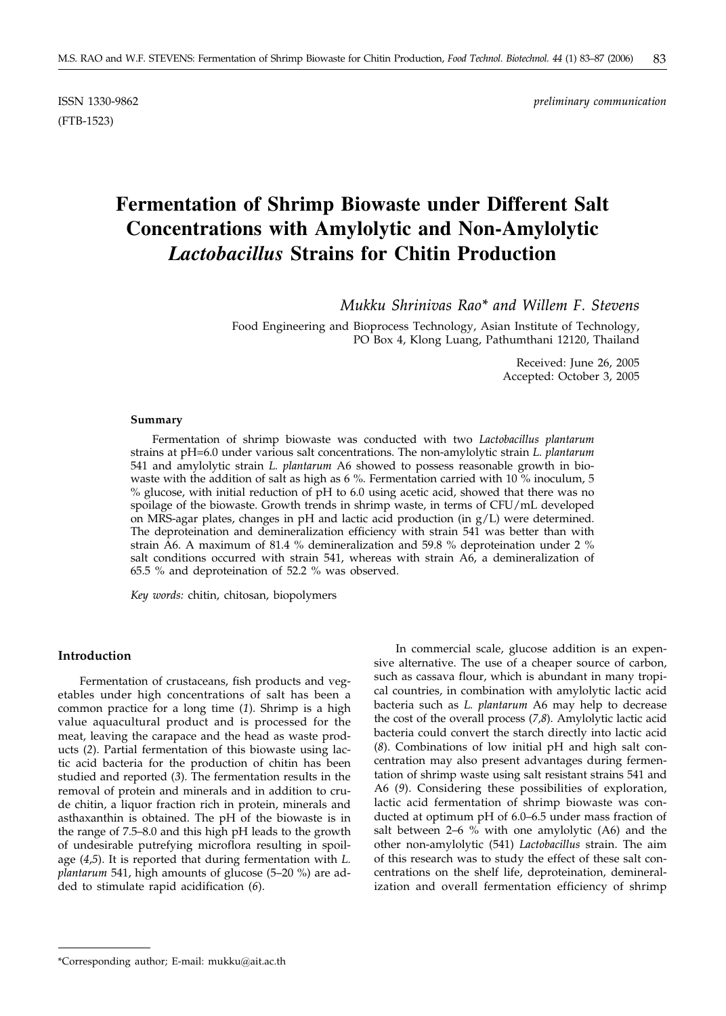(FTB-1523)

# **Fermentation of Shrimp Biowaste under Different Salt Concentrations with Amylolytic and Non-Amylolytic** *Lactobacillus* **Strains for Chitin Production**

*Mukku Shrinivas Rao\* and Willem F. Stevens*

Food Engineering and Bioprocess Technology, Asian Institute of Technology, PO Box 4, Klong Luang, Pathumthani 12120, Thailand

> Received: June 26, 2005 Accepted: October 3, 2005

#### **Summary**

Fermentation of shrimp biowaste was conducted with two *Lactobacillus plantarum* strains at pH=6.0 under various salt concentrations. The non-amylolytic strain *L. plantarum* 541 and amylolytic strain *L. plantarum* A6 showed to possess reasonable growth in biowaste with the addition of salt as high as 6 %. Fermentation carried with 10 % inoculum, 5 % glucose, with initial reduction of pH to 6.0 using acetic acid, showed that there was no spoilage of the biowaste. Growth trends in shrimp waste, in terms of CFU/mL developed on MRS-agar plates, changes in pH and lactic acid production (in g/L) were determined. The deproteination and demineralization efficiency with strain 541 was better than with strain A6. A maximum of 81.4 % demineralization and 59.8 % deproteination under 2 % salt conditions occurred with strain 541, whereas with strain A6, a demineralization of 65.5 % and deproteination of 52.2 % was observed.

*Key words:* chitin, chitosan, biopolymers

# **Introduction**

Fermentation of crustaceans, fish products and vegetables under high concentrations of salt has been a common practice for a long time (*1*). Shrimp is a high value aquacultural product and is processed for the meat, leaving the carapace and the head as waste products (*2*). Partial fermentation of this biowaste using lactic acid bacteria for the production of chitin has been studied and reported (*3*). The fermentation results in the removal of protein and minerals and in addition to crude chitin, a liquor fraction rich in protein, minerals and asthaxanthin is obtained. The pH of the biowaste is in the range of 7.5–8.0 and this high pH leads to the growth of undesirable putrefying microflora resulting in spoilage (*4*,*5*). It is reported that during fermentation with *L. plantarum* 541, high amounts of glucose (5–20 %) are added to stimulate rapid acidification (*6*).

In commercial scale, glucose addition is an expensive alternative. The use of a cheaper source of carbon, such as cassava flour, which is abundant in many tropical countries, in combination with amylolytic lactic acid bacteria such as *L. plantarum* A6 may help to decrease the cost of the overall process (*7,8*). Amylolytic lactic acid bacteria could convert the starch directly into lactic acid (*8*). Combinations of low initial pH and high salt concentration may also present advantages during fermentation of shrimp waste using salt resistant strains 541 and A6 (*9*). Considering these possibilities of exploration, lactic acid fermentation of shrimp biowaste was conducted at optimum pH of 6.0–6.5 under mass fraction of salt between 2–6  $\%$  with one amylolytic (A6) and the other non-amylolytic (541) *Lactobacillus* strain. The aim of this research was to study the effect of these salt concentrations on the shelf life, deproteination, demineralization and overall fermentation efficiency of shrimp

<sup>\*</sup>Corresponding author; E-mail: mukku*@*ait.ac.th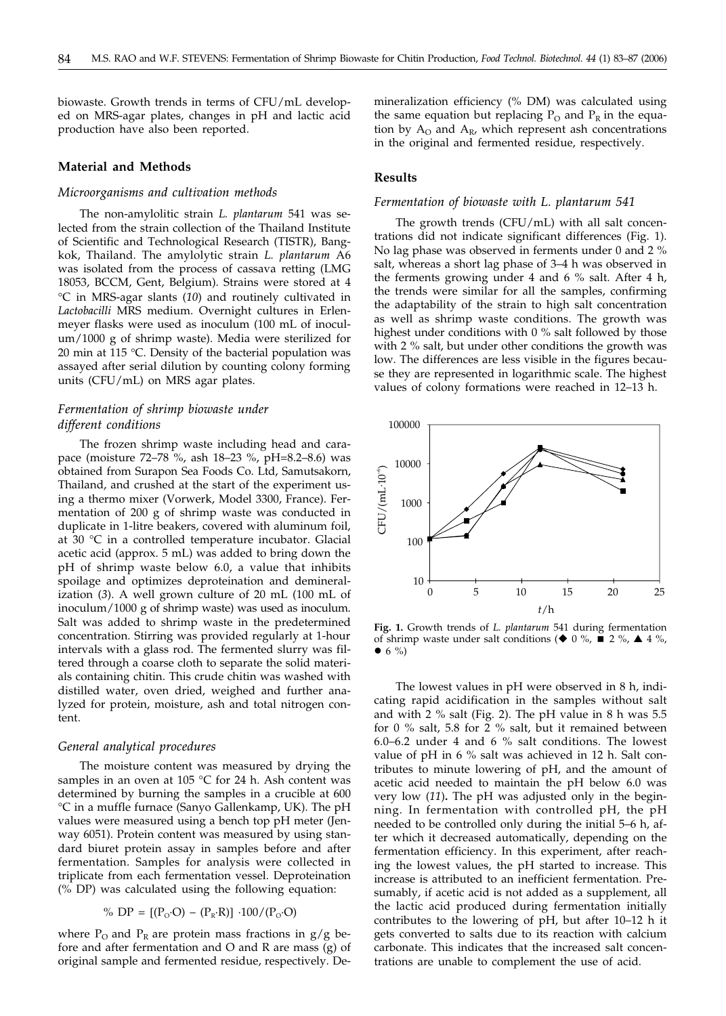biowaste. Growth trends in terms of CFU/mL developed on MRS-agar plates, changes in pH and lactic acid production have also been reported.

# **Material and Methods**

# *Microorganisms and cultivation methods*

The non-amylolitic strain *L. plantarum* 541 was selected from the strain collection of the Thailand Institute of Scientific and Technological Research (TISTR), Bangkok, Thailand. The amylolytic strain *L. plantarum* A6 was isolated from the process of cassava retting (LMG 18053, BCCM, Gent, Belgium). Strains were stored at 4 C in MRS-agar slants (*10*) and routinely cultivated in *Lactobacilli* MRS medium. Overnight cultures in Erlenmeyer flasks were used as inoculum (100 mL of inoculum/1000 g of shrimp waste). Media were sterilized for 20 min at 115  $°C$ . Density of the bacterial population was assayed after serial dilution by counting colony forming units (CFU/mL) on MRS agar plates.

# *Fermentation of shrimp biowaste under different conditions*

The frozen shrimp waste including head and carapace (moisture 72–78 %, ash 18–23 %, pH=8.2–8.6) was obtained from Surapon Sea Foods Co. Ltd, Samutsakorn, Thailand, and crushed at the start of the experiment using a thermo mixer (Vorwerk, Model 3300, France). Fermentation of 200 g of shrimp waste was conducted in duplicate in 1-litre beakers, covered with aluminum foil, at 30 °C in a controlled temperature incubator. Glacial acetic acid (approx. 5 mL) was added to bring down the pH of shrimp waste below 6.0, a value that inhibits spoilage and optimizes deproteination and demineralization (*3*). A well grown culture of 20 mL (100 mL of inoculum/1000 g of shrimp waste) was used as inoculum. Salt was added to shrimp waste in the predetermined concentration. Stirring was provided regularly at 1-hour intervals with a glass rod. The fermented slurry was filtered through a coarse cloth to separate the solid materials containing chitin. This crude chitin was washed with distilled water, oven dried, weighed and further analyzed for protein, moisture, ash and total nitrogen content.

# *General analytical procedures*

The moisture content was measured by drying the samples in an oven at 105 °C for 24 h. Ash content was determined by burning the samples in a crucible at 600 °C in a muffle furnace (Sanyo Gallenkamp, UK). The pH values were measured using a bench top pH meter (Jenway 6051). Protein content was measured by using standard biuret protein assay in samples before and after fermentation. Samples for analysis were collected in triplicate from each fermentation vessel. Deproteination (% DP) was calculated using the following equation:

% DP = 
$$
[(P_0 \cdot O) - (P_R \cdot R)] \cdot 100 / (P_0 \cdot O)
$$

where  $P_{\Omega}$  and  $P_{R}$  are protein mass fractions in  $g/g$  before and after fermentation and O and R are mass (g) of original sample and fermented residue, respectively. De-

mineralization efficiency (% DM) was calculated using the same equation but replacing  $P_{O}$  and  $P_{R}$  in the equation by  $A_0$  and  $A_R$ , which represent ash concentrations in the original and fermented residue, respectively.

# **Results**

#### *Fermentation of biowaste with L. plantarum 541*

The growth trends (CFU/mL) with all salt concentrations did not indicate significant differences (Fig. 1). No lag phase was observed in ferments under 0 and 2 % salt, whereas a short lag phase of 3–4 h was observed in the ferments growing under 4 and 6 % salt. After 4 h, the trends were similar for all the samples, confirming the adaptability of the strain to high salt concentration as well as shrimp waste conditions. The growth was highest under conditions with 0 % salt followed by those with 2 % salt, but under other conditions the growth was low. The differences are less visible in the figures because they are represented in logarithmic scale. The highest values of colony formations were reached in 12–13 h.



**Fig. 1.** Growth trends of *L. plantarum* 541 during fermentation of shrimp waste under salt conditions ( $\blacklozenge$  0 %,  $\blacktriangleright$  2 %,  $\blacktriangle$  4 %,  $\bullet$  6 %)

The lowest values in pH were observed in 8 h, indicating rapid acidification in the samples without salt and with 2  $\%$  salt (Fig. 2). The pH value in 8 h was 5.5 for 0  $\%$  salt, 5.8 for 2  $\%$  salt, but it remained between 6.0–6.2 under 4 and 6 % salt conditions. The lowest value of pH in 6 % salt was achieved in 12 h. Salt contributes to minute lowering of pH, and the amount of acetic acid needed to maintain the pH below 6.0 was very low (*11*)**.** The pH was adjusted only in the beginning. In fermentation with controlled pH, the pH needed to be controlled only during the initial 5–6 h, after which it decreased automatically, depending on the fermentation efficiency. In this experiment, after reaching the lowest values, the pH started to increase. This increase is attributed to an inefficient fermentation. Presumably, if acetic acid is not added as a supplement, all the lactic acid produced during fermentation initially contributes to the lowering of pH, but after 10–12 h it gets converted to salts due to its reaction with calcium carbonate. This indicates that the increased salt concentrations are unable to complement the use of acid.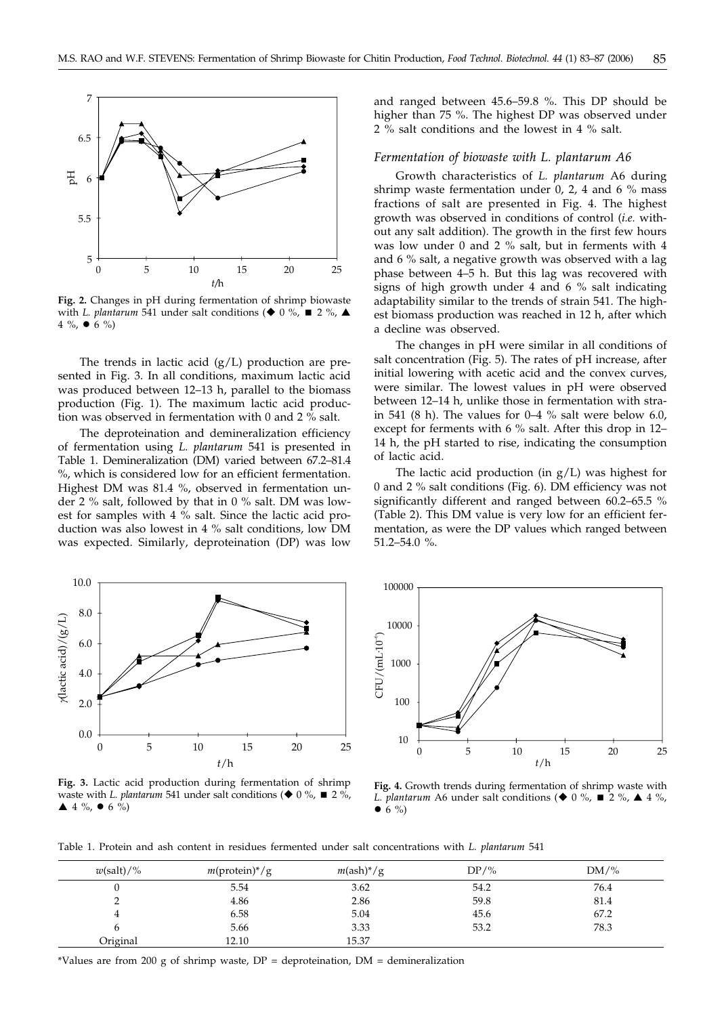

**Fig. 2.** Changes in pH during fermentation of shrimp biowaste with *L. plantarum* 541 under salt conditions ( $\blacklozenge$  0 %,  $\blacksquare$  2 %,  $\blacktriangle$ 4 %,  $\bullet$  6 %)

The trends in lactic acid  $(g/L)$  production are presented in Fig. 3. In all conditions, maximum lactic acid was produced between 12–13 h, parallel to the biomass production (Fig. 1). The maximum lactic acid production was observed in fermentation with 0 and 2 % salt.

The deproteination and demineralization efficiency of fermentation using *L. plantarum* 541 is presented in Table 1. Demineralization (DM) varied between 67.2–81.4 %, which is considered low for an efficient fermentation. Highest DM was 81.4 %, observed in fermentation under 2 % salt, followed by that in 0 % salt. DM was lowest for samples with 4 % salt. Since the lactic acid production was also lowest in 4 % salt conditions, low DM was expected. Similarly, deproteination (DP) was low

and ranged between 45.6–59.8 %. This DP should be higher than 75 %. The highest DP was observed under 2 % salt conditions and the lowest in 4 % salt.

# *Fermentation of biowaste with L. plantarum A6*

Growth characteristics of *L. plantarum* A6 during shrimp waste fermentation under 0, 2, 4 and 6 % mass fractions of salt are presented in Fig. 4. The highest growth was observed in conditions of control (*i.e.* without any salt addition). The growth in the first few hours was low under 0 and 2 % salt, but in ferments with 4 and 6 % salt, a negative growth was observed with a lag phase between 4–5 h. But this lag was recovered with signs of high growth under 4 and 6 % salt indicating adaptability similar to the trends of strain 541. The highest biomass production was reached in 12 h, after which a decline was observed.

The changes in pH were similar in all conditions of salt concentration (Fig. 5). The rates of pH increase, after initial lowering with acetic acid and the convex curves, were similar. The lowest values in pH were observed between 12–14 h, unlike those in fermentation with strain 541 (8 h). The values for 0–4 % salt were below 6.0, except for ferments with 6 % salt. After this drop in 12– 14 h, the pH started to rise, indicating the consumption of lactic acid.

The lactic acid production (in  $g/L$ ) was highest for 0 and 2 % salt conditions (Fig. 6). DM efficiency was not significantly different and ranged between 60.2–65.5 % (Table 2). This DM value is very low for an efficient fermentation, as were the DP values which ranged between 51.2–54.0 %.





**Fig. 3.** Lactic acid production during fermentation of shrimp waste with *L. plantarum* 541 under salt conditions ( $\blacklozenge$  0 %,  $\blacksquare$  2 %,  $\blacktriangle$  4 %,  $\blacktriangleright$  6 %)

**Fig. 4.** Growth trends during fermentation of shrimp waste with *L. plantarum* A6 under salt conditions ( $\blacklozenge$  0 %,  $\blacksquare$  2 %,  $\blacktriangle$  4 %,  $\bullet$  6 %)

Table 1. Protein and ash content in residues fermented under salt concentrations with *L. plantarum* 541

| $w(\text{salt})/$ % | $m(\text{protein})^*/g$ | $m(\text{ash})^*/g$ | $DP/\%$ | $DM\frac{9}{6}$ |
|---------------------|-------------------------|---------------------|---------|-----------------|
|                     | 5.54                    | 3.62                | 54.2    | 76.4            |
|                     | 4.86                    | 2.86                | 59.8    | 81.4            |
|                     | 6.58                    | 5.04                | 45.6    | 67.2            |
|                     | 5.66                    | 3.33                | 53.2    | 78.3            |
| Original            | 12.10                   | 15.37               |         |                 |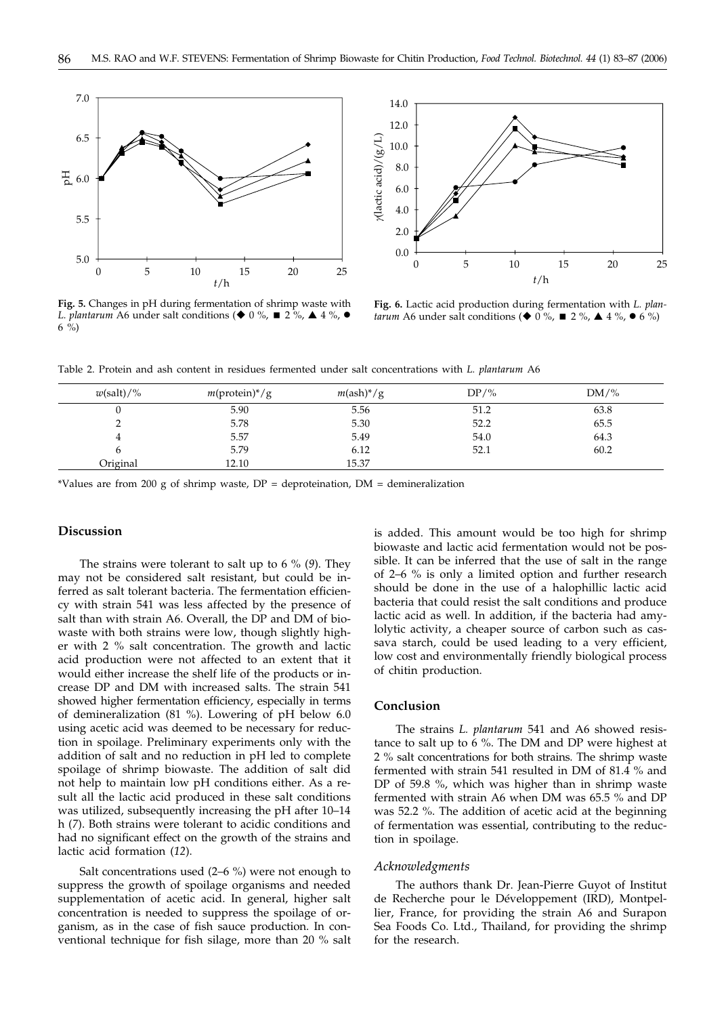



**Fig. 5.** Changes in pH during fermentation of shrimp waste with *L. plantarum* A6 under salt conditions ( $\blacklozenge$  0 %,  $\blacksquare$  2 %,  $\blacktriangle$  4 %,  $\blacklozenge$ 6 %)

**Fig. 6.** Lactic acid production during fermentation with *L. plantarum* A6 under salt conditions ( $\blacklozenge$  0%,  $\blacksquare$  2%,  $\blacktriangle$  4%,  $\blacktriangleright$  6%)

Table 2. Protein and ash content in residues fermented under salt concentrations with *L. plantarum* A6

| $w(\text{salt})/\%$ | $m(\text{protein})^*/g$ | $m(\text{ash})^*/g$ | $DP/$ % | $DM\frac{9}{6}$ |
|---------------------|-------------------------|---------------------|---------|-----------------|
|                     | 5.90                    | 5.56                | 51.2    | 63.8            |
|                     | 5.78                    | 5.30                | 52.2    | 65.5            |
|                     | 5.57                    | 5.49                | 54.0    | 64.3            |
|                     | 5.79                    | 6.12                | 52.1    | 60.2            |
| Original            | 12.10                   | 15.37               |         |                 |

\*Values are from 200 g of shrimp waste,  $DP =$  deproteination,  $DM =$  demineralization

# **Discussion**

The strains were tolerant to salt up to 6 % (*9*). They may not be considered salt resistant, but could be inferred as salt tolerant bacteria. The fermentation efficiency with strain 541 was less affected by the presence of salt than with strain A6. Overall, the DP and DM of biowaste with both strains were low, though slightly higher with 2 % salt concentration. The growth and lactic acid production were not affected to an extent that it would either increase the shelf life of the products or increase DP and DM with increased salts. The strain 541 showed higher fermentation efficiency, especially in terms of demineralization (81 %). Lowering of pH below 6.0 using acetic acid was deemed to be necessary for reduction in spoilage. Preliminary experiments only with the addition of salt and no reduction in pH led to complete spoilage of shrimp biowaste. The addition of salt did not help to maintain low pH conditions either. As a result all the lactic acid produced in these salt conditions was utilized, subsequently increasing the pH after 10–14 h (*7*). Both strains were tolerant to acidic conditions and had no significant effect on the growth of the strains and lactic acid formation (*12*).

Salt concentrations used (2–6 %) were not enough to suppress the growth of spoilage organisms and needed supplementation of acetic acid. In general, higher salt concentration is needed to suppress the spoilage of organism, as in the case of fish sauce production. In conventional technique for fish silage, more than 20 % salt is added. This amount would be too high for shrimp biowaste and lactic acid fermentation would not be possible. It can be inferred that the use of salt in the range of 2–6 % is only a limited option and further research should be done in the use of a halophillic lactic acid bacteria that could resist the salt conditions and produce lactic acid as well. In addition, if the bacteria had amylolytic activity, a cheaper source of carbon such as cassava starch, could be used leading to a very efficient, low cost and environmentally friendly biological process of chitin production.

# **Conclusion**

The strains *L. plantarum* 541 and A6 showed resistance to salt up to 6 %. The DM and DP were highest at 2 % salt concentrations for both strains. The shrimp waste fermented with strain 541 resulted in DM of 81.4 % and DP of 59.8 %, which was higher than in shrimp waste fermented with strain A6 when DM was 65.5 % and DP was 52.2 %. The addition of acetic acid at the beginning of fermentation was essential, contributing to the reduction in spoilage.

#### *Acknowledgments*

The authors thank Dr. Jean-Pierre Guyot of Institut de Recherche pour le Développement (IRD), Montpellier, France, for providing the strain A6 and Surapon Sea Foods Co. Ltd., Thailand, for providing the shrimp for the research.